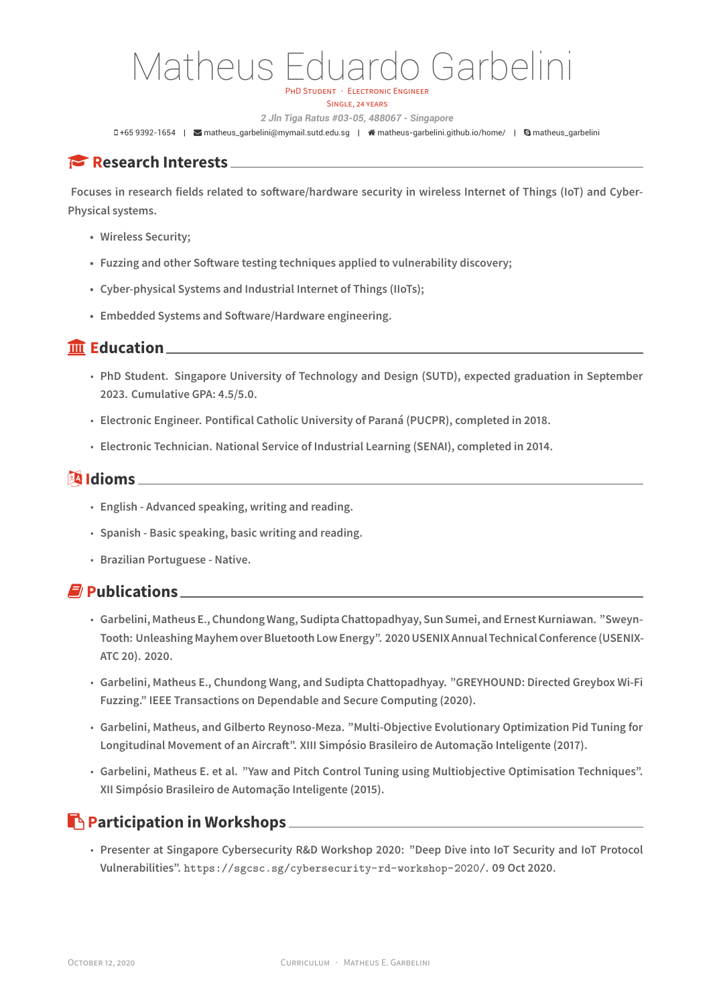# Matheus Eduardo Garbelini PHD STUDENT · ELECTRONIC ENGINEER

SINGLE, 24 YEARS

*2 Jln Tiga Ratus #03-05, 488067 - Singapore*

0+65 9392-1654 | **≥** matheus\_garbelini@mymail.sutd.edu.sg | **#** matheus-garbelini.github.io/home/ | **G** matheus\_garbelini

## **Research Interests**

**Focuses in research fiel[ds related to software/hardwar](mailto:matheus_garbelini@mymail.sutd.edu.sg)es[ecurity in wireless Internet](http://matheus-garbelini.github.io/home/) of Things (IoT) and Cyber-Physical systems.**

- **• Wireless Security;**
- **• Fuzzing and other Software testing techniques applied to vulnerability discovery;**
- **• Cyber-physical Systems and Industrial Internet of Things (IIoTs);**
- **• Embedded Systems and Software/Hardware engineering.**

#### **Education**

- **PhD Student. Singapore University of Technology and Design (SUTD), expected graduation in September 2023. Cumulative GPA: 4.5/5.0.**
- **Electronic Engineer. Pontifical Catholic University of Paraná (PUCPR), completed in 2018.**
- **Electronic Technician. National Service of Industrial Learning (SENAI), completed in 2014.**

#### **图 Idioms**

- **English Advanced speaking, writing and reading.**
- **Spanish Basic speaking, basic writing and reading.**
- **Brazilian Portuguese Native.**

### **Publications**

- **Garbelini, Matheus E., Chundong Wang, Sudipta Chattopadhyay, Sun Sumei, and Ernest Kurniawan. "Sweyn-Tooth: Unleashing Mayhem over Bluetooth Low Energy". 2020 USENIX Annual Technical Conference (USENIX-ATC 20). 2020.**
- **Garbelini, Matheus E., Chundong Wang, and Sudipta Chattopadhyay. "GREYHOUND: Directed Greybox Wi-Fi Fuzzing." IEEE Transactions on Dependable and Secure Computing (2020).**
- **Garbelini, Matheus, and Gilberto Reynoso-Meza. "Multi-Objective Evolutionary Optimization Pid Tuning for Longitudinal Movement of an Aircraft". XIII Simpósio Brasileiro de Automação Inteligente (2017).**
- **Garbelini, Matheus E. et al. "Yaw and Pitch Control Tuning using Multiobjective Optimisation Techniques". XII Simpósio Brasileiro de Automação Inteligente (2015).**

#### **Participation in Workshops** 2008 2009 2012 2022 2023 2024 2022 2023 2024 2022 2023 2024 2022 2023 2024 2025 2026 2027 2027 2027 2027 2028 2027 2028 2027 2028 2027 2028 2027 2028 2027 2028 2027 2028 2027 2028 2027 2028 202

• **Presenter at Singapore Cybersecurity R&D Workshop 2020: "Deep Dive into IoT Security and IoT Protocol Vulnerabilities". https://sgcsc.sg/cybersecurity-rd-workshop-2020/. 09 Oct 2020.**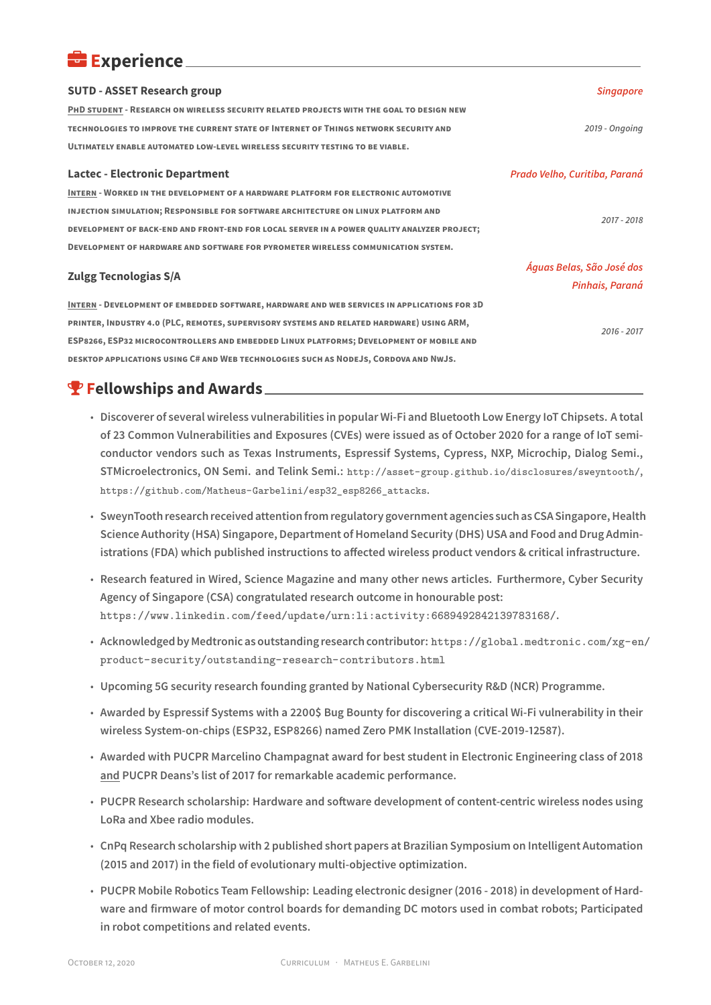#### **Experience**

| <b>SUTD - ASSET Research group</b>                                                          | <b>Singapore</b>              |
|---------------------------------------------------------------------------------------------|-------------------------------|
| PHD STUDENT - RESEARCH ON WIRELESS SECURITY RELATED PROJECTS WITH THE GOAL TO DESIGN NEW    |                               |
| TECHNOLOGIES TO IMPROVE THE CURRENT STATE OF INTERNET OF THINGS NETWORK SECURITY AND        | 2019 - Ongoing                |
| ULTIMATELY ENABLE AUTOMATED LOW-LEVEL WIRELESS SECURITY TESTING TO BE VIABLE.               |                               |
| <b>Lactec - Electronic Department</b>                                                       | Prado Velho, Curitiba, Paraná |
| <b>INTERN - WORKED IN THE DEVELOPMENT OF A HARDWARE PLATFORM FOR ELECTRONIC AUTOMOTIVE</b>  |                               |
| INJECTION SIMULATION; RESPONSIBLE FOR SOFTWARE ARCHITECTURE ON LINUX PLATFORM AND           | 2017 - 2018                   |
| DEVELOPMENT OF BACK-END AND FRONT-END FOR LOCAL SERVER IN A POWER QUALITY ANALYZER PROJECT; |                               |
| DEVELOPMENT OF HARDWARE AND SOFTWARE FOR PYROMETER WIRELESS COMMUNICATION SYSTEM.           |                               |
| <b>Zulgg Tecnologias S/A</b>                                                                | Águas Belas, São José dos     |
|                                                                                             | Pinhais, Paraná               |
| INTERN - DEVELOPMENT OF EMBEDDED SOFTWARE, HARDWARE AND WEB SERVICES IN APPLICATIONS FOR 3D |                               |
| PRINTER, INDUSTRY 4.0 (PLC, REMOTES, SUPERVISORY SYSTEMS AND RELATED HARDWARE) USING ARM,   | $2016 - 2017$                 |
| ESP8266, ESP32 MICROCONTROLLERS AND EMBEDDED LINUX PLATFORMS; DEVELOPMENT OF MOBILE AND     |                               |
| DESKTOP APPLICATIONS USING C# AND WEB TECHNOLOGIES SUCH AS NODEJS, CORDOVA AND NWJS.        |                               |

**P** Fellowships and Awards.

- **Discoverer of several wireless vulnerabilities in popular Wi-Fi and Bluetooth Low Energy IoT Chipsets. A total of 23 Common Vulnerabilities and Exposures (CVEs) were issued as of October 2020 for a range of IoT semiconductor vendors such as Texas Instruments, Espressif Systems, Cypress, NXP, Microchip, Dialog Semi., STMicroelectronics, ON Semi. and Telink Semi.: http://asset-group.github.io/disclosures/sweyntooth/, https://github.com/Matheus-Garbelini/esp32\_esp8266\_attacks.**
- **SweynTooth research received attention from regulatory government agencies such as CSA Singapore, Health Science Authority (HSA) Singapore, Department [of Homeland Security \(DHS\) USA and Food and Drug Admin](http://asset-group.github.io/disclosures/sweyntooth/)[istrations \(FDA\) which published instructions to affected wireless](https://github.com/Matheus-Garbelini/esp32_esp8266_attacks) product vendors & critical infrastructure.**
- **Research featured in Wired, Science Magazine and many other news articles. Furthermore, Cyber Security Agency of Singapore (CSA) congratulated research outcome in honourable post: https://www.linkedin.com/feed/update/urn:li:activity:6689492842139783168/.**
- **Acknowledged by Medtronic as outstanding research contributor: https://global.medtronic.com/xg-en/ product-security/outstanding-research-contributors.html**
- **[Upcoming 5G security research founding granted by National Cybersecurity R&D \(NCR\) Pro](https://www.linkedin.com/feed/update/urn:li:activity:6689492842139783168/)gramme.**
- **[Awarded by Espressif Systems with a 2200\\$ Bug Bounty for discovering a critical Wi-Fi vulnerability in their](https://global.medtronic.com/xg-en/product-security/outstanding-research-contributors.html) wireless System-on-chips (ESP32, ESP8266) named Zero PMK Installation (CVE-2019-12587).**
- **Awarded with PUCPR Marcelino Champagnat award for best student in Electronic Engineering class of 2018 and PUCPR Deans's list of 2017 for remarkable academic performance.**
- **PUCPR Research scholarship: Hardware and software development of content-centric wireless nodes using LoRa and Xbee radio modules.**
- **CnPq Research scholarship with 2 published short papers at Brazilian Symposium on Intelligent Automation (2015 and 2017) in the field of evolutionary multi-objective optimization.**
- **PUCPR Mobile Robotics Team Fellowship: Leading electronic designer (2016 2018) in development of Hardware and firmware of motor control boards for demanding DC motors used in combat robots; Participated in robot competitions and related events.**